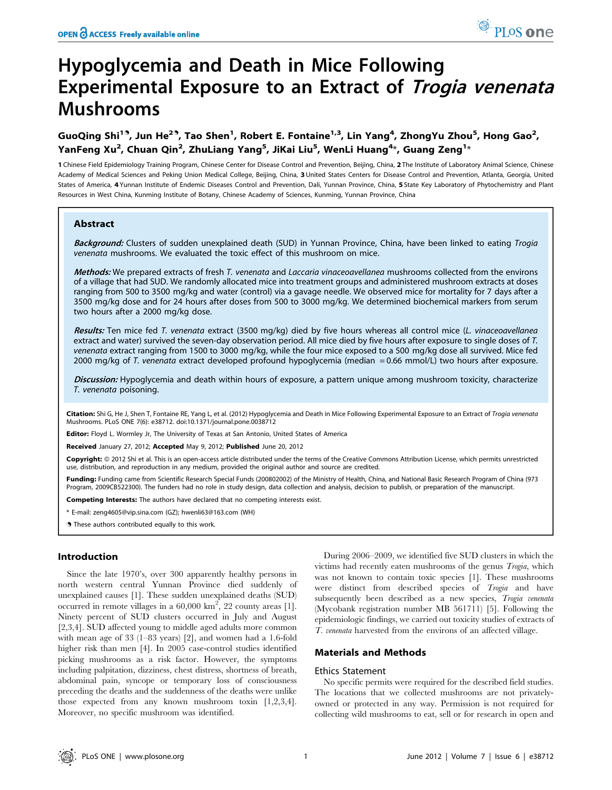# Hypoglycemia and Death in Mice Following Experimental Exposure to an Extract of *Trogia venenata* Mushrooms

GuoQing Shi<sup>19</sup>, Jun He<sup>29</sup>, Tao Shen<sup>1</sup>, Robert E. Fontaine<sup>1,3</sup>, Lin Yang<sup>4</sup>, ZhongYu Zhou<sup>5</sup>, Hong Gao<sup>2</sup>, YanFeng Xu<sup>2</sup>, Chuan Qin<sup>2</sup>, ZhuLiang Yang<sup>5</sup>, JiKai Liu<sup>5</sup>, WenLi Huang<sup>4</sup>\*, Guang Zeng<sup>1</sup>\*

1 Chinese Field Epidemiology Training Program, Chinese Center for Disease Control and Prevention, Beijing, China, 2 The Institute of Laboratory Animal Science, Chinese Academy of Medical Sciences and Peking Union Medical College, Beijing, China, 3 United States Centers for Disease Control and Prevention, Atlanta, Georgia, United States of America, 4 Yunnan Institute of Endemic Diseases Control and Prevention, Dali, Yunnan Province, China, 5 State Key Laboratory of Phytochemistry and Plant Resources in West China, Kunming Institute of Botany, Chinese Academy of Sciences, Kunming, Yunnan Province, China

# Abstract

Background: Clusters of sudden unexplained death (SUD) in Yunnan Province, China, have been linked to eating Trogia venenata mushrooms. We evaluated the toxic effect of this mushroom on mice.

Methods: We prepared extracts of fresh T. venenata and Laccaria vinaceoavellanea mushrooms collected from the environs of a village that had SUD. We randomly allocated mice into treatment groups and administered mushroom extracts at doses ranging from 500 to 3500 mg/kg and water (control) via a gavage needle. We observed mice for mortality for 7 days after a 3500 mg/kg dose and for 24 hours after doses from 500 to 3000 mg/kg. We determined biochemical markers from serum two hours after a 2000 mg/kg dose.

Results: Ten mice fed T. venenata extract (3500 mg/kg) died by five hours whereas all control mice (L. vinaceoavellanea extract and water) survived the seven-day observation period. All mice died by five hours after exposure to single doses of T. venenata extract ranging from 1500 to 3000 mg/kg, while the four mice exposed to a 500 mg/kg dose all survived. Mice fed 2000 mg/kg of T. venenata extract developed profound hypoglycemia (median = 0.66 mmol/L) two hours after exposure.

Discussion: Hypoglycemia and death within hours of exposure, a pattern unique among mushroom toxicity, characterize T. venenata poisoning.

Citation: Shi G, He J, Shen T, Fontaine RE, Yang L, et al. (2012) Hypoglycemia and Death in Mice Following Experimental Exposure to an Extract of Trogia venenata Mushrooms. PLoS ONE 7(6): e38712. doi:10.1371/journal.pone.0038712

Editor: Floyd L. Wormley Jr, The University of Texas at San Antonio, United States of America

Received January 27, 2012; Accepted May 9, 2012; Published June 20, 2012

Copyright: © 2012 Shi et al. This is an open-access article distributed under the terms of the Creative Commons Attribution License, which permits unrestricted use, distribution, and reproduction in any medium, provided the original author and source are credited.

Funding: Funding came from Scientific Research Special Funds (200802002) of the Ministry of Health, China, and National Basic Research Program of China (973 Program, 2009CB522300). The funders had no role in study design, data collection and analysis, decision to publish, or preparation of the manuscript.

Competing Interests: The authors have declared that no competing interests exist.

\* E-mail: zeng4605@vip.sina.com (GZ); hwenli63@163.com (WH)

**.** These authors contributed equally to this work.

## Introduction

Since the late 1970's, over 300 apparently healthy persons in north western central Yunnan Province died suddenly of unexplained causes [1]. These sudden unexplained deaths (SUD) occurred in remote villages in a  $60,000 \text{ km}^2$ , 22 county areas [1]. Ninety percent of SUD clusters occurred in July and August [2,3,4]. SUD affected young to middle aged adults more common with mean age of 33 (1–83 years) [2], and women had a 1.6-fold higher risk than men [4]. In 2005 case-control studies identified picking mushrooms as a risk factor. However, the symptoms including palpitation, dizziness, chest distress, shortness of breath, abdominal pain, syncope or temporary loss of consciousness preceding the deaths and the suddenness of the deaths were unlike those expected from any known mushroom toxin [1,2,3,4]. Moreover, no specific mushroom was identified.

During 2006–2009, we identified five SUD clusters in which the victims had recently eaten mushrooms of the genus Trogia, which was not known to contain toxic species [1]. These mushrooms were distinct from described species of Trogia and have subsequently been described as a new species, Trogia venenata (Mycobank registration number MB 561711) [5]. Following the epidemiologic findings, we carried out toxicity studies of extracts of T. venenata harvested from the environs of an affected village.

## Materials and Methods

#### Ethics Statement

No specific permits were required for the described field studies. The locations that we collected mushrooms are not privatelyowned or protected in any way. Permission is not required for collecting wild mushrooms to eat, sell or for research in open and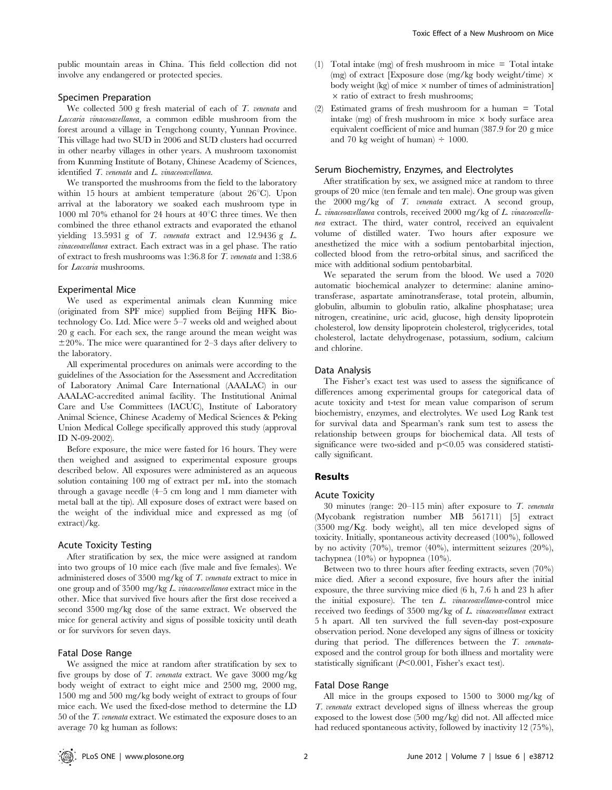## Specimen Preparation

We collected 500 g fresh material of each of T. venenata and Laccaria vinaceoavellanea, a common edible mushroom from the forest around a village in Tengchong county, Yunnan Province. This village had two SUD in 2006 and SUD clusters had occurred in other nearby villages in other years. A mushroom taxonomist from Kunming Institute of Botany, Chinese Academy of Sciences, identified T. venenata and L. vinaceoavellanea.

We transported the mushrooms from the field to the laboratory within 15 hours at ambient temperature (about  $26^{\circ}$ C). Upon arrival at the laboratory we soaked each mushroom type in 1000 ml 70% ethanol for 24 hours at  $40^{\circ}$ C three times. We then combined the three ethanol extracts and evaporated the ethanol yielding  $13.5931$  g of T. venenata extract and  $12.9436$  g L. vinaceoavellanea extract. Each extract was in a gel phase. The ratio of extract to fresh mushrooms was 1:36.8 for T. venenata and 1:38.6 for Laccaria mushrooms.

#### Experimental Mice

We used as experimental animals clean Kunming mice (originated from SPF mice) supplied from Beijing HFK Biotechnology Co. Ltd. Mice were 5–7 weeks old and weighed about 20 g each. For each sex, the range around the mean weight was  $\pm 20$ %. The mice were quarantined for 2–3 days after delivery to the laboratory.

All experimental procedures on animals were according to the guidelines of the Association for the Assessment and Accreditation of Laboratory Animal Care International (AAALAC) in our AAALAC-accredited animal facility. The Institutional Animal Care and Use Committees (IACUC), Institute of Laboratory Animal Science, Chinese Academy of Medical Sciences & Peking Union Medical College specifically approved this study (approval ID N-09-2002).

Before exposure, the mice were fasted for 16 hours. They were then weighed and assigned to experimental exposure groups described below. All exposures were administered as an aqueous solution containing 100 mg of extract per mL into the stomach through a gavage needle (4–5 cm long and 1 mm diameter with metal ball at the tip). All exposure doses of extract were based on the weight of the individual mice and expressed as mg (of extract)/kg.

## Acute Toxicity Testing

After stratification by sex, the mice were assigned at random into two groups of 10 mice each (five male and five females). We administered doses of 3500 mg/kg of T. venenata extract to mice in one group and of 3500 mg/kg L. vinaceoavellanea extract mice in the other. Mice that survived five hours after the first dose received a second 3500 mg/kg dose of the same extract. We observed the mice for general activity and signs of possible toxicity until death or for survivors for seven days.

## Fatal Dose Range

We assigned the mice at random after stratification by sex to five groups by dose of T. venenata extract. We gave 3000 mg/kg body weight of extract to eight mice and 2500 mg, 2000 mg, 1500 mg and 500 mg/kg body weight of extract to groups of four mice each. We used the fixed-dose method to determine the LD 50 of the T. venenata extract. We estimated the exposure doses to an average 70 kg human as follows:

- (1) Total intake (mg) of fresh mushroom in mice = Total intake (mg) of extract [Exposure dose (mg/kg body weight/time)  $\times$ body weight (kg) of mice  $\times$  number of times of administration]  $\times$  ratio of extract to fresh mushrooms;
- (2) Estimated grams of fresh mushroom for a human = Total intake (mg) of fresh mushroom in mice  $\times$  body surface area equivalent coefficient of mice and human (387.9 for 20 g mice and 70 kg weight of human)  $\div$  1000.

#### Serum Biochemistry, Enzymes, and Electrolytes

After stratification by sex, we assigned mice at random to three groups of 20 mice (ten female and ten male). One group was given the 2000 mg/kg of T. venenata extract. A second group, L. vinaceoavellanea controls, received 2000 mg/kg of L. vinaceoavellanea extract. The third, water control, received an equivalent volume of distilled water. Two hours after exposure we anesthetized the mice with a sodium pentobarbital injection, collected blood from the retro-orbital sinus, and sacrificed the mice with additional sodium pentobarbital.

We separated the serum from the blood. We used a 7020 automatic biochemical analyzer to determine: alanine aminotransferase, aspartate aminotransferase, total protein, albumin, globulin, albumin to globulin ratio, alkaline phosphatase; urea nitrogen, creatinine, uric acid, glucose, high density lipoprotein cholesterol, low density lipoprotein cholesterol, triglycerides, total cholesterol, lactate dehydrogenase, potassium, sodium, calcium and chlorine.

#### Data Analysis

The Fisher's exact test was used to assess the significance of differences among experimental groups for categorical data of acute toxicity and t-test for mean value comparison of serum biochemistry, enzymes, and electrolytes. We used Log Rank test for survival data and Spearman's rank sum test to assess the relationship between groups for biochemical data. All tests of significance were two-sided and  $p<0.05$  was considered statistically significant.

# Results

## Acute Toxicity

30 minutes (range:  $20-115$  min) after exposure to  $T$ . venenata (Mycobank registration number MB 561711) [5] extract (3500 mg/Kg. body weight), all ten mice developed signs of toxicity. Initially, spontaneous activity decreased (100%), followed by no activity (70%), tremor (40%), intermittent seizures (20%), tachypnea (10%) or hypopnea (10%).

Between two to three hours after feeding extracts, seven (70%) mice died. After a second exposure, five hours after the initial exposure, the three surviving mice died (6 h, 7.6 h and 23 h after the initial exposure). The ten L. vinaceoavellanea-control mice received two feedings of 3500 mg/kg of L. vinaceoavellanea extract 5 h apart. All ten survived the full seven-day post-exposure observation period. None developed any signs of illness or toxicity during that period. The differences between the T. venenataexposed and the control group for both illness and mortality were statistically significant  $(P<0.001$ , Fisher's exact test).

# Fatal Dose Range

All mice in the groups exposed to 1500 to 3000 mg/kg of T. venenata extract developed signs of illness whereas the group exposed to the lowest dose (500 mg/kg) did not. All affected mice had reduced spontaneous activity, followed by inactivity 12 (75%),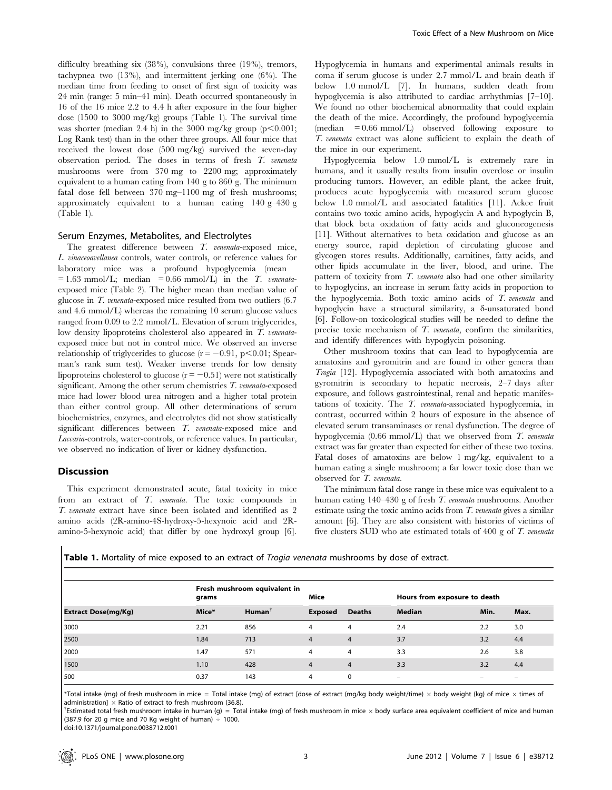difficulty breathing six (38%), convulsions three (19%), tremors, tachypnea two (13%), and intermittent jerking one (6%). The median time from feeding to onset of first sign of toxicity was 24 min (range: 5 min–41 min). Death occurred spontaneously in 16 of the 16 mice 2.2 to 4.4 h after exposure in the four higher dose (1500 to 3000 mg/kg) groups (Table 1). The survival time was shorter (median 2.4 h) in the 3000 mg/kg group  $(p<0.001;$ Log Rank test) than in the other three groups. All four mice that received the lowest dose (500 mg/kg) survived the seven-day observation period. The doses in terms of fresh T. venenata mushrooms were from 370 mg to 2200 mg; approximately equivalent to a human eating from 140 g to 860 g. The minimum fatal dose fell between 370 mg–1100 mg of fresh mushrooms; approximately equivalent to a human eating 140 g–430 g (Table 1).

#### Serum Enzymes, Metabolites, and Electrolytes

The greatest difference between T. venenata-exposed mice, L. vinaceoavellanea controls, water controls, or reference values for laboratory mice was a profound hypoglycemia (mean  $= 1.63$  mmol/L; median  $= 0.66$  mmol/L) in the T. venenataexposed mice (Table 2). The higher mean than median value of glucose in T. venenata-exposed mice resulted from two outliers (6.7 and 4.6 mmol/L) whereas the remaining 10 serum glucose values ranged from 0.09 to 2.2 mmol/L. Elevation of serum triglycerides, low density lipoproteins cholesterol also appeared in T. venenataexposed mice but not in control mice. We observed an inverse relationship of triglycerides to glucose  $(r = -0.91, p < 0.01;$  Spearman's rank sum test). Weaker inverse trends for low density lipoproteins cholesterol to glucose  $(r = -0.51)$  were not statistically significant. Among the other serum chemistries T. venenata-exposed mice had lower blood urea nitrogen and a higher total protein than either control group. All other determinations of serum biochemistries, enzymes, and electrolytes did not show statistically significant differences between T. venenata-exposed mice and Laccaria-controls, water-controls, or reference values. In particular, we observed no indication of liver or kidney dysfunction.

## Discussion

This experiment demonstrated acute, fatal toxicity in mice from an extract of T. venenata. The toxic compounds in T. venenata extract have since been isolated and identified as 2 amino acids (2R-amino-4S-hydroxy-5-hexynoic acid and 2Ramino-5-hexynoic acid) that differ by one hydroxyl group [6].

Hypoglycemia in humans and experimental animals results in coma if serum glucose is under 2.7 mmol/L and brain death if below 1.0 mmol/L [7]. In humans, sudden death from hypoglycemia is also attributed to cardiac arrhythmias [7–10]. We found no other biochemical abnormality that could explain the death of the mice. Accordingly, the profound hypoglycemia  $(\text{median} = 0.66 \text{ mmol/L})$  observed following exposure to T. venenata extract was alone sufficient to explain the death of the mice in our experiment.

Hypoglycemia below 1.0 mmol/L is extremely rare in humans, and it usually results from insulin overdose or insulin producing tumors. However, an edible plant, the ackee fruit, produces acute hypoglycemia with measured serum glucose below 1.0 mmol/L and associated fatalities [11]. Ackee fruit contains two toxic amino acids, hypoglycin A and hypoglycin B, that block beta oxidation of fatty acids and gluconeogenesis [11]. Without alternatives to beta oxidation and glucose as an energy source, rapid depletion of circulating glucose and glycogen stores results. Additionally, carnitines, fatty acids, and other lipids accumulate in the liver, blood, and urine. The pattern of toxicity from T. venenata also had one other similarity to hypoglycins, an increase in serum fatty acids in proportion to the hypoglycemia. Both toxic amino acids of T. venenata and hypoglycin have a structural similarity, a δ-unsaturated bond [6]. Follow-on toxicological studies will be needed to define the precise toxic mechanism of T. venenata, confirm the similarities, and identify differences with hypoglycin poisoning.

Other mushroom toxins that can lead to hypoglycemia are amatoxins and gyromitrin and are found in other genera than Trogia [12]. Hypoglycemia associated with both amatoxins and gyromitrin is secondary to hepatic necrosis, 2–7 days after exposure, and follows gastrointestinal, renal and hepatic manifestations of toxicity. The T. venenata-associated hypoglycemia, in contrast, occurred within 2 hours of exposure in the absence of elevated serum transaminases or renal dysfunction. The degree of hypoglycemia (0.66 mmol/L) that we observed from T. venenata extract was far greater than expected for either of these two toxins. Fatal doses of amatoxins are below 1 mg/kg, equivalent to a human eating a single mushroom; a far lower toxic dose than we observed for T. venenata.

The minimum fatal dose range in these mice was equivalent to a human eating 140–430 g of fresh T. venenata mushrooms. Another estimate using the toxic amino acids from  $T$ . *venenata* gives a similar amount [6]. They are also consistent with histories of victims of five clusters SUD who ate estimated totals of  $400 \text{ g}$  of  $T$ . venenata

Table 1. Mortality of mice exposed to an extract of Trogia venenata mushrooms by dose of extract.

| <b>Extract Dose(mg/Kg)</b> | Fresh mushroom equivalent in<br>grams |                    | Mice           |                | Hours from exposure to death |      |      |
|----------------------------|---------------------------------------|--------------------|----------------|----------------|------------------------------|------|------|
|                            | Mice*                                 | Human <sup>1</sup> | <b>Exposed</b> | <b>Deaths</b>  | <b>Median</b>                | Min. | Max. |
| 3000                       | 2.21                                  | 856                | 4              | 4              | 2.4                          | 2.2  | 3.0  |
| 2500                       | 1.84                                  | 713                | 4              | $\overline{4}$ | 3.7                          | 3.2  | 4.4  |
| 2000                       | 1.47                                  | 571                | 4              | 4              | 3.3                          | 2.6  | 3.8  |
| 1500                       | 1.10                                  | 428                | $\overline{4}$ | $\overline{4}$ | 3.3                          | 3.2  | 4.4  |
| 500                        | 0.37                                  | 143                | 4              | $\mathbf 0$    | $\overline{\phantom{m}}$     |      |      |

\*Total intake (mg) of fresh mushroom in mice = Total intake (mg) of extract [dose of extract (mg/kg body weight/time) × body weight (kg) of mice × times of administration]  $\times$  Ratio of extract to fresh mushroom (36.8).

<sup>†</sup>Estimated total fresh mushroom intake in human (q) = Total intake (mq) of fresh mushroom in mice  $\times$  body surface area equivalent coefficient of mice and human (387.9 for 20 g mice and 70 Kg weight of human)  $\div$  1000.

doi:10.1371/journal.pone.0038712.t001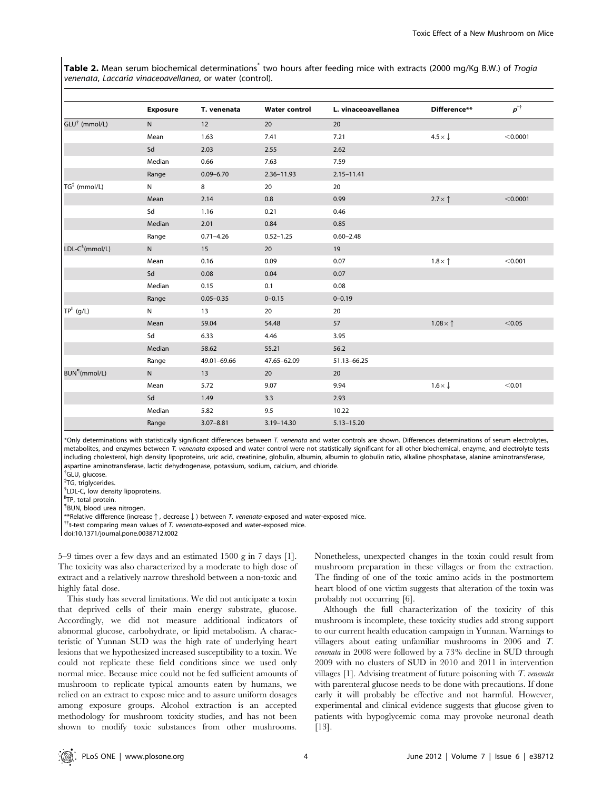Table 2. Mean serum biochemical determinations<sup>\*</sup> two hours after feeding mice with extracts (2000 mg/Kg B.W.) of Trogia venenata, Laccaria vinaceoavellanea, or water (control).

|                           | <b>Exposure</b> | T. venenata   | <b>Water control</b> | L. vinaceoavellanea | Difference**            | $p^{\dagger\dagger}$ |
|---------------------------|-----------------|---------------|----------------------|---------------------|-------------------------|----------------------|
| GLU <sup>†</sup> (mmol/L) | $\mathsf{N}$    | 12            | 20                   | 20                  |                         |                      |
|                           | Mean            | 1.63          | 7.41                 | 7.21                | $4.5 \times \sqrt{ }$   | < 0.0001             |
|                           | Sd              | 2.03          | 2.55                 | 2.62                |                         |                      |
|                           | Median          | 0.66          | 7.63                 | 7.59                |                         |                      |
|                           | Range           | $0.09 - 6.70$ | 2.36-11.93           | $2.15 - 11.41$      |                         |                      |
| TG <sup>‡</sup> (mmol/L)  | $\mathsf{N}$    | 8             | 20                   | 20                  |                         |                      |
|                           | Mean            | 2.14          | 0.8                  | 0.99                | $2.7 \times \uparrow$   | < 0.0001             |
|                           | Sd              | 1.16          | 0.21                 | 0.46                |                         |                      |
|                           | Median          | 2.01          | 0.84                 | 0.85                |                         |                      |
|                           | Range           | $0.71 - 4.26$ | $0.52 - 1.25$        | $0.60 - 2.48$       |                         |                      |
| $LDL-C§(mmol/L)$          | $\mathsf{N}$    | 15            | 20                   | 19                  |                         |                      |
|                           | Mean            | 0.16          | 0.09                 | 0.07                | $1.8 \times \uparrow$   | < 0.001              |
|                           | Sd              | 0.08          | 0.04                 | 0.07                |                         |                      |
|                           | Median          | 0.15          | 0.1                  | 0.08                |                         |                      |
|                           | Range           | $0.05 - 0.35$ | $0 - 0.15$           | $0 - 0.19$          |                         |                      |
| $TPII$ (g/L)              | $\mathsf{N}$    | 13            | 20                   | 20                  |                         |                      |
|                           | Mean            | 59.04         | 54.48                | 57                  | $1.08 \times \uparrow$  | < 0.05               |
|                           | Sd              | 6.33          | 4.46                 | 3.95                |                         |                      |
|                           | Median          | 58.62         | 55.21                | 56.2                |                         |                      |
|                           | Range           | 49.01-69.66   | 47.65-62.09          | 51.13-66.25         |                         |                      |
| BUN <sup>1</sup> (mmol/L) | N               | 13            | 20                   | 20                  |                         |                      |
|                           | Mean            | 5.72          | 9.07                 | 9.94                | $1.6 \times \downarrow$ | < 0.01               |
|                           | Sd              | 1.49          | 3.3                  | 2.93                |                         |                      |
|                           | Median          | 5.82          | 9.5                  | 10.22               |                         |                      |
|                           | Range           | $3.07 - 8.81$ | 3.19-14.30           | $5.13 - 15.20$      |                         |                      |

\*Only determinations with statistically significant differences between T. venenata and water controls are shown. Differences determinations of serum electrolytes, metabolites, and enzymes between T. venenata exposed and water control were not statistically significant for all other biochemical, enzyme, and electrolyte tests including cholesterol, high density lipoproteins, uric acid, creatinine, globulin, albumin, albumin to globulin ratio, alkaline phosphatase, alanine aminotransferase, aspartine aminotransferase, lactic dehydrogenase, potassium, sodium, calcium, and chloride.

<sup>†</sup>GLU, glucose.

{ TG, triglycerides. *SLDL-C*, low density lipoproteins.

<sup>II</sup>TP, total protein.

" BUN, blood urea nitrogen.

\*\*Relative difference (increase  $\uparrow$ , decrease  $\downarrow$ ) between T. venenata-exposed and water-exposed mice.  ${{}^{\dagger}}$ t-test comparing mean values of T. venenata-exposed and water-exposed mice.

doi:10.1371/journal.pone.0038712.t002

5–9 times over a few days and an estimated 1500 g in 7 days [1]. The toxicity was also characterized by a moderate to high dose of extract and a relatively narrow threshold between a non-toxic and highly fatal dose.

This study has several limitations. We did not anticipate a toxin that deprived cells of their main energy substrate, glucose. Accordingly, we did not measure additional indicators of abnormal glucose, carbohydrate, or lipid metabolism. A characteristic of Yunnan SUD was the high rate of underlying heart lesions that we hypothesized increased susceptibility to a toxin. We could not replicate these field conditions since we used only normal mice. Because mice could not be fed sufficient amounts of mushroom to replicate typical amounts eaten by humans, we relied on an extract to expose mice and to assure uniform dosages among exposure groups. Alcohol extraction is an accepted methodology for mushroom toxicity studies, and has not been shown to modify toxic substances from other mushrooms.

Nonetheless, unexpected changes in the toxin could result from mushroom preparation in these villages or from the extraction. The finding of one of the toxic amino acids in the postmortem heart blood of one victim suggests that alteration of the toxin was probably not occurring [6].

Although the full characterization of the toxicity of this mushroom is incomplete, these toxicity studies add strong support to our current health education campaign in Yunnan. Warnings to villagers about eating unfamiliar mushrooms in 2006 and T. venenata in 2008 were followed by a 73% decline in SUD through 2009 with no clusters of SUD in 2010 and 2011 in intervention villages  $[1]$ . Advising treatment of future poisoning with  $T$ . venenata with parenteral glucose needs to be done with precautions. If done early it will probably be effective and not harmful. However, experimental and clinical evidence suggests that glucose given to patients with hypoglycemic coma may provoke neuronal death [13].